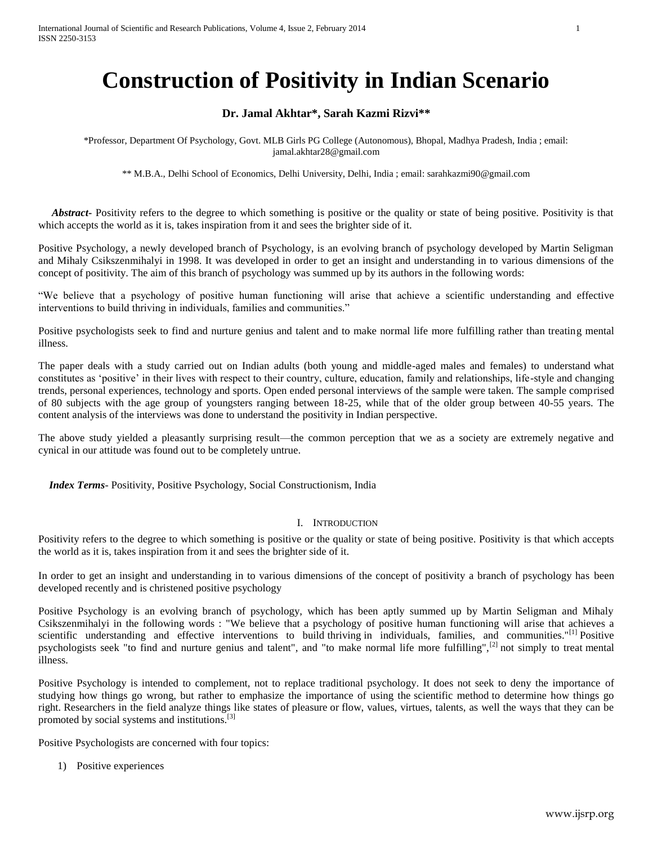# **Construction of Positivity in Indian Scenario**

# **Dr. Jamal Akhtar\*, Sarah Kazmi Rizvi\*\***

\*Professor, Department Of Psychology, Govt. MLB Girls PG College (Autonomous), Bhopal, Madhya Pradesh, India ; email: jamal.akhtar28@gmail.com

\*\* M.B.A., Delhi School of Economics, Delhi University, Delhi, India ; email: sarahkazmi90@gmail.com

*Abstract* Positivity refers to the degree to which something is positive or the quality or state of being positive. Positivity is that which accepts the world as it is, takes inspiration from it and sees the brighter side of it.

Positive Psychology, a newly developed branch of Psychology, is an evolving branch of psychology developed by Martin Seligman and Mihaly Csikszenmihalyi in 1998. It was developed in order to get an insight and understanding in to various dimensions of the concept of positivity. The aim of this branch of psychology was summed up by its authors in the following words:

"We believe that a psychology of positive human functioning will arise that achieve a scientific understanding and effective interventions to build thriving in individuals, families and communities."

Positive psychologists seek to find and nurture genius and talent and to make normal life more fulfilling rather than treating mental illness.

The paper deals with a study carried out on Indian adults (both young and middle-aged males and females) to understand what constitutes as 'positive' in their lives with respect to their country, culture, education, family and relationships, life-style and changing trends, personal experiences, technology and sports. Open ended personal interviews of the sample were taken. The sample comprised of 80 subjects with the age group of youngsters ranging between 18-25, while that of the older group between 40-55 years. The content analysis of the interviews was done to understand the positivity in Indian perspective.

The above study yielded a pleasantly surprising result—the common perception that we as a society are extremely negative and cynical in our attitude was found out to be completely untrue.

 *Index Terms*- Positivity, Positive Psychology, Social Constructionism, India

#### I. INTRODUCTION

Positivity refers to the degree to which something is positive or the quality or state of being positive. Positivity is that which accepts the world as it is, takes inspiration from it and sees the brighter side of it.

In order to get an insight and understanding in to various dimensions of the concept of positivity a branch of psychology has been developed recently and is christened positive psychology

Positive Psychology is an evolving branch of psychology, which has been aptly summed up by Martin Seligman and Mihaly Csikszenmihalyi in the following words : "We believe that a psychology of positive human functioning will arise that achieves a scientific understanding and effective interventions to build thriving in individuals, families, and communities."<sup>[1]</sup> Positive psychologists seek "to find and nurture genius and talent", and "to make normal life more fulfilling",<sup>[2]</sup> not simply to treat mental illness.

Positive Psychology is intended to complement, not to replace traditional psychology. It does not seek to deny the importance of studying how things go wrong, but rather to emphasize the importance of using the scientific method to determine how things go right. Researchers in the field analyze things like states of pleasure or flow, values, virtues, talents, as well the ways that they can be promoted by social systems and institutions.[3]

Positive Psychologists are concerned with four topics:

1) Positive experiences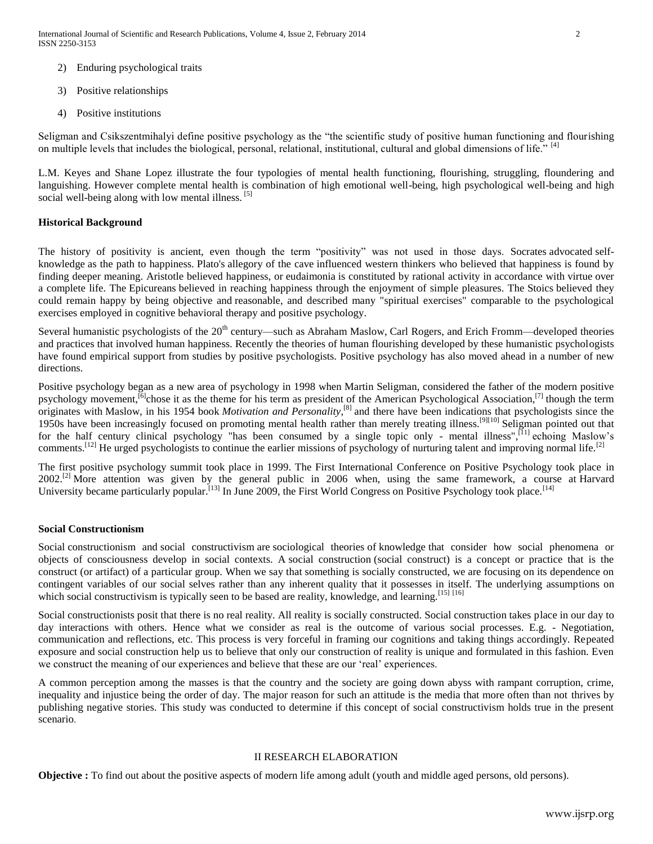- 2) Enduring psychological traits
- 3) Positive relationships
- 4) Positive institutions

Seligman and Csikszentmihalyi define positive psychology as the "the scientific study of positive human functioning and flourishing on multiple levels that includes the biological, personal, relational, institutional, cultural and global dimensions of life." [4]

L.M. Keyes and Shane Lopez illustrate the four typologies of mental health functioning, flourishing, struggling, floundering and languishing. However complete mental health is combination of high emotional well-being, high psychological well-being and high social well-being along with low mental illness. [5]

### **Historical Background**

The history of positivity is ancient, even though the term "positivity" was not used in those days. Socrates advocated selfknowledge as the path to happiness. Plato's allegory of the cave influenced western thinkers who believed that happiness is found by finding deeper meaning. Aristotle believed happiness, or eudaimonia is constituted by rational activity in accordance with virtue over a complete life. The Epicureans believed in reaching happiness through the enjoyment of simple pleasures. The Stoics believed they could remain happy by being objective and reasonable, and described many "spiritual exercises" comparable to the psychological exercises employed in cognitive behavioral therapy and positive psychology.

Several humanistic psychologists of the  $20<sup>th</sup>$  century—such as Abraham Maslow, Carl Rogers, and Erich Fromm—developed theories and practices that involved human happiness. Recently the theories of human flourishing developed by these humanistic psychologists have found empirical support from studies by positive psychologists. Positive psychology has also moved ahead in a number of new directions.

Positive psychology began as a new area of psychology in 1998 when Martin Seligman, considered the father of the modern positive psychology movement,<sup>[6]</sup>chose it as the theme for his term as president of the American Psychological Association,<sup>[7]</sup> though the term originates with Maslow, in his 1954 book *Motivation and Personality*, [8] and there have been indications that psychologists since the 1950s have been increasingly focused on promoting mental health rather than merely treating illness.<sup>[9][10]</sup> Seligman pointed out that for the half century clinical psychology "has been consumed by a single topic only - mental illness",  $[11]$  echoing Maslow's comments.<sup>[12]</sup> He urged psychologists to continue the earlier missions of psychology of nurturing talent and improving normal life.<sup>[2]</sup>

The first positive psychology summit took place in 1999. The First International Conference on Positive Psychology took place in 2002.<sup>[2]</sup> More attention was given by the general public in 2006 when, using the same framework, a course at Harvard University became particularly popular.<sup>[13]</sup> In June 2009, the First World Congress on Positive Psychology took place.<sup>[14]</sup>

#### **Social Constructionism**

Social constructionism and social constructivism are sociological theories of knowledge that consider how social phenomena or objects of consciousness develop in social contexts. A social construction (social construct) is a concept or practice that is the construct (or artifact) of a particular group. When we say that something is socially constructed, we are focusing on its dependence on contingent variables of our social selves rather than any inherent quality that it possesses in itself. The underlying assumptions on which social constructivism is typically seen to be based are reality, knowledge, and learning.<sup>[15] [16]</sup>

Social constructionists posit that there is no real reality. All reality is socially constructed. Social construction takes place in our day to day interactions with others. Hence what we consider as real is the outcome of various social processes. E.g. - Negotiation, communication and reflections, etc. This process is very forceful in framing our cognitions and taking things accordingly. Repeated exposure and social construction help us to believe that only our construction of reality is unique and formulated in this fashion. Even we construct the meaning of our experiences and believe that these are our 'real' experiences.

A common perception among the masses is that the country and the society are going down abyss with rampant corruption, crime, inequality and injustice being the order of day. The major reason for such an attitude is the media that more often than not thrives by publishing negative stories. This study was conducted to determine if this concept of social constructivism holds true in the present scenario.

# II RESEARCH ELABORATION

**Objective :** To find out about the positive aspects of modern life among adult (youth and middle aged persons, old persons).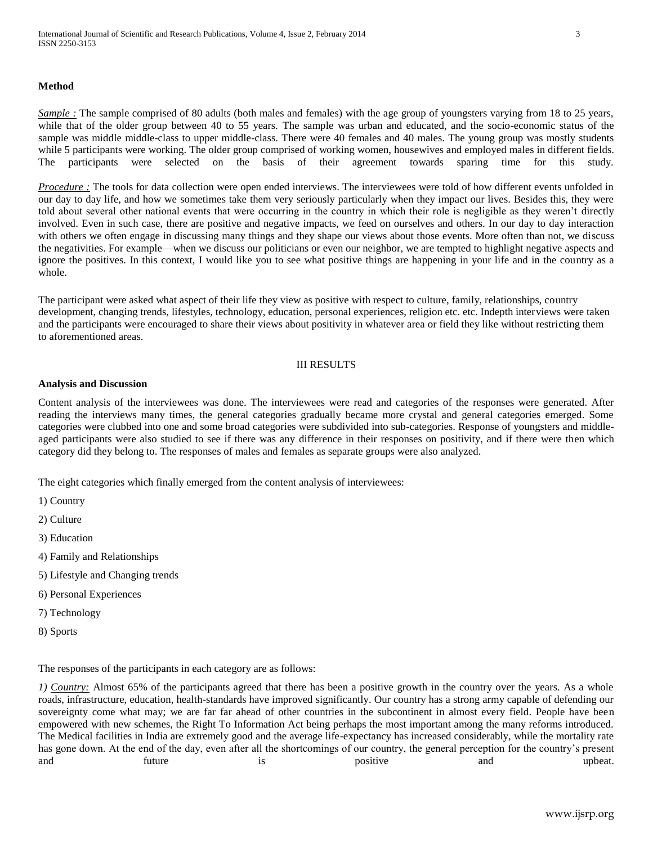#### **Method**

*Sample* : The sample comprised of 80 adults (both males and females) with the age group of youngsters varying from 18 to 25 years, while that of the older group between 40 to 55 years. The sample was urban and educated, and the socio-economic status of the sample was middle middle-class to upper middle-class. There were 40 females and 40 males. The young group was mostly students while 5 participants were working. The older group comprised of working women, housewives and employed males in different fields. The participants were selected on the basis of their agreement towards sparing time for this study.

*Procedure*: The tools for data collection were open ended interviews. The interviewees were told of how different events unfolded in our day to day life, and how we sometimes take them very seriously particularly when they impact our lives. Besides this, they were told about several other national events that were occurring in the country in which their role is negligible as they weren't directly involved. Even in such case, there are positive and negative impacts, we feed on ourselves and others. In our day to day interaction with others we often engage in discussing many things and they shape our views about those events. More often than not, we discuss the negativities. For example—when we discuss our politicians or even our neighbor, we are tempted to highlight negative aspects and ignore the positives. In this context, I would like you to see what positive things are happening in your life and in the country as a whole.

The participant were asked what aspect of their life they view as positive with respect to culture, family, relationships, country development, changing trends, lifestyles, technology, education, personal experiences, religion etc. etc. Indepth interviews were taken and the participants were encouraged to share their views about positivity in whatever area or field they like without restricting them to aforementioned areas.

#### III RESULTS

#### **Analysis and Discussion**

Content analysis of the interviewees was done. The interviewees were read and categories of the responses were generated. After reading the interviews many times, the general categories gradually became more crystal and general categories emerged. Some categories were clubbed into one and some broad categories were subdivided into sub-categories. Response of youngsters and middleaged participants were also studied to see if there was any difference in their responses on positivity, and if there were then which category did they belong to. The responses of males and females as separate groups were also analyzed.

The eight categories which finally emerged from the content analysis of interviewees:

- 1) Country
- 2) Culture
- 3) Education
- 4) Family and Relationships
- 5) Lifestyle and Changing trends
- 6) Personal Experiences
- 7) Technology
- 8) Sports

The responses of the participants in each category are as follows:

*1) Country:* Almost 65% of the participants agreed that there has been a positive growth in the country over the years. As a whole roads, infrastructure, education, health-standards have improved significantly. Our country has a strong army capable of defending our sovereignty come what may; we are far far ahead of other countries in the subcontinent in almost every field. People have been empowered with new schemes, the Right To Information Act being perhaps the most important among the many reforms introduced. The Medical facilities in India are extremely good and the average life-expectancy has increased considerably, while the mortality rate has gone down. At the end of the day, even after all the shortcomings of our country, the general perception for the country's present and future is positive and upbeat.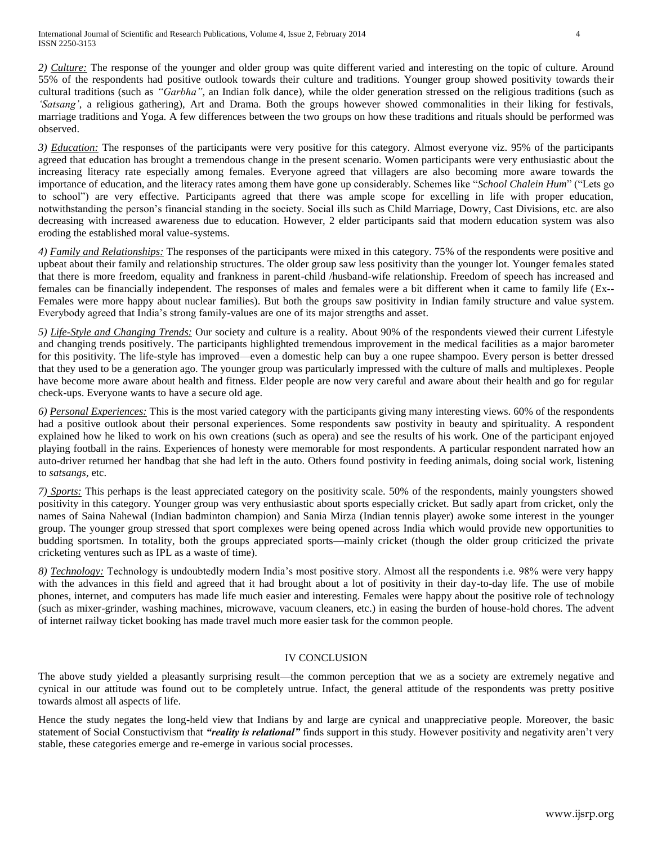*2) Culture:* The response of the younger and older group was quite different varied and interesting on the topic of culture. Around 55% of the respondents had positive outlook towards their culture and traditions. Younger group showed positivity towards their cultural traditions (such as *"Garbha"*, an Indian folk dance), while the older generation stressed on the religious traditions (such as *'Satsang'*, a religious gathering), Art and Drama. Both the groups however showed commonalities in their liking for festivals, marriage traditions and Yoga. A few differences between the two groups on how these traditions and rituals should be performed was observed.

*3) Education:* The responses of the participants were very positive for this category. Almost everyone viz. 95% of the participants agreed that education has brought a tremendous change in the present scenario. Women participants were very enthusiastic about the increasing literacy rate especially among females. Everyone agreed that villagers are also becoming more aware towards the importance of education, and the literacy rates among them have gone up considerably. Schemes like "*School Chalein Hum*" ("Lets go to school") are very effective. Participants agreed that there was ample scope for excelling in life with proper education, notwithstanding the person's financial standing in the society. Social ills such as Child Marriage, Dowry, Cast Divisions, etc. are also decreasing with increased awareness due to education. However, 2 elder participants said that modern education system was also eroding the established moral value-systems.

*4) Family and Relationships:* The responses of the participants were mixed in this category. 75% of the respondents were positive and upbeat about their family and relationship structures. The older group saw less positivity than the younger lot. Younger females stated that there is more freedom, equality and frankness in parent-child /husband-wife relationship. Freedom of speech has increased and females can be financially independent. The responses of males and females were a bit different when it came to family life (Ex-- Females were more happy about nuclear families). But both the groups saw positivity in Indian family structure and value system. Everybody agreed that India's strong family-values are one of its major strengths and asset.

*5) Life-Style and Changing Trends:* Our society and culture is a reality. About 90% of the respondents viewed their current Lifestyle and changing trends positively. The participants highlighted tremendous improvement in the medical facilities as a major barometer for this positivity. The life-style has improved—even a domestic help can buy a one rupee shampoo. Every person is better dressed that they used to be a generation ago. The younger group was particularly impressed with the culture of malls and multiplexes. People have become more aware about health and fitness. Elder people are now very careful and aware about their health and go for regular check-ups. Everyone wants to have a secure old age.

*6) Personal Experiences:* This is the most varied category with the participants giving many interesting views. 60% of the respondents had a positive outlook about their personal experiences. Some respondents saw postivity in beauty and spirituality. A respondent explained how he liked to work on his own creations (such as opera) and see the results of his work. One of the participant enjoyed playing football in the rains. Experiences of honesty were memorable for most respondents. A particular respondent narrated how an auto-driver returned her handbag that she had left in the auto. Others found postivity in feeding animals, doing social work, listening to *satsangs,* etc.

*7) Sports:* This perhaps is the least appreciated category on the positivity scale. 50% of the respondents, mainly youngsters showed positivity in this category. Younger group was very enthusiastic about sports especially cricket. But sadly apart from cricket, only the names of Saina Nahewal (Indian badminton champion) and Sania Mirza (Indian tennis player) awoke some interest in the younger group. The younger group stressed that sport complexes were being opened across India which would provide new opportunities to budding sportsmen. In totality, both the groups appreciated sports—mainly cricket (though the older group criticized the private cricketing ventures such as IPL as a waste of time).

*8) Technology:* Technology is undoubtedly modern India's most positive story. Almost all the respondents i.e. 98% were very happy with the advances in this field and agreed that it had brought about a lot of positivity in their day-to-day life. The use of mobile phones, internet, and computers has made life much easier and interesting. Females were happy about the positive role of technology (such as mixer-grinder, washing machines, microwave, vacuum cleaners, etc.) in easing the burden of house-hold chores. The advent of internet railway ticket booking has made travel much more easier task for the common people.

# IV CONCLUSION

The above study yielded a pleasantly surprising result—the common perception that we as a society are extremely negative and cynical in our attitude was found out to be completely untrue. Infact, the general attitude of the respondents was pretty positive towards almost all aspects of life.

Hence the study negates the long-held view that Indians by and large are cynical and unappreciative people. Moreover, the basic statement of Social Constuctivism that *"reality is relational"* finds support in this study. However positivity and negativity aren't very stable, these categories emerge and re-emerge in various social processes.